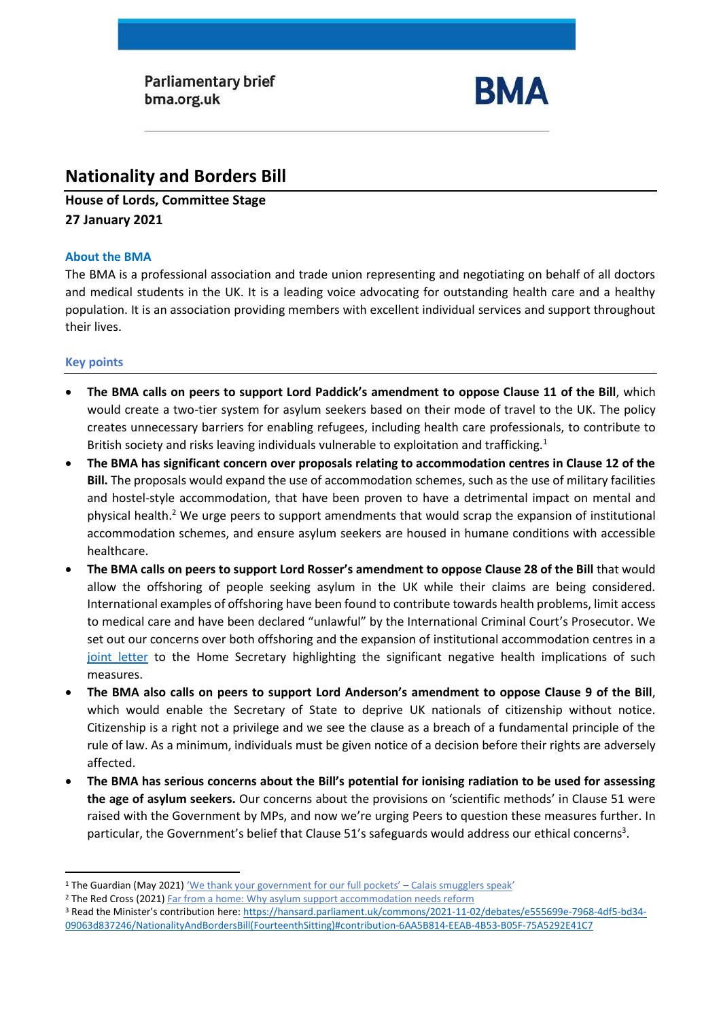**Parliamentary brief** bma.org.uk



# **Nationality and Borders Bill**

**House of Lords, Committee Stage 27 January 2021** 

### **About the BMA**

The BMA is a professional association and trade union representing and negotiating on behalf of all doctors and medical students in the UK. It is a leading voice advocating for outstanding health care and a healthy population. It is an association providing members with excellent individual services and support throughout their lives.

## **Key points**

- **The BMA calls on peers to support Lord Paddick's amendment to oppose Clause 11 of the Bill**, which would create a two-tier system for asylum seekers based on their mode of travel to the UK. The policy creates unnecessary barriers for enabling refugees, including health care professionals, to contribute to British society and risks leaving individuals vulnerable to exploitation and trafficking.<sup>1</sup>
- **The BMA has significant concern over proposals relating to accommodation centres in Clause 12 of the Bill.** The proposals would expand the use of accommodation schemes, such as the use of military facilities and hostel-style accommodation, that have been proven to have a detrimental impact on mental and physical health. <sup>2</sup> We urge peers to support amendments that would scrap the expansion of institutional accommodation schemes, and ensure asylum seekers are housed in humane conditions with accessible healthcare.
- **The BMA calls on peers to support Lord Rosser's amendment to oppose Clause 28 of the Bill** that would allow the offshoring of people seeking asylum in the UK while their claims are being considered. International examples of offshoring have been found to contribute towards health problems, limit access to medical care and have been declared "unlawful" by the International Criminal Court's Prosecutor. We set out our concerns over both offshoring and the expansion of institutional accommodation centres in a [joint letter](https://msf.org.uk/article/joint-letter-concerns-about-health-implications-nationality-and-borders-bill) to the Home Secretary highlighting the significant negative health implications of such measures.
- **The BMA also calls on peers to support Lord Anderson's amendment to oppose Clause 9 of the Bill**, which would enable the Secretary of State to deprive UK nationals of citizenship without notice. Citizenship is a right not a privilege and we see the clause as a breach of a fundamental principle of the rule of law. As a minimum, individuals must be given notice of a decision before their rights are adversely affected.
- **The BMA has serious concerns about the Bill's potential for ionising radiation to be used for assessing the age of asylum seekers.** Our concerns about the provisions on 'scientific methods' in Clause 51 were raised with the Government by MPs, and now we're urging Peers to question these measures further. In particular, the Government's belief that Clause 51's safeguards would address our ethical concerns<sup>3</sup>.

<sup>&</sup>lt;sup>1</sup> The Guardian (May 2021) 'We thank your government for our full pockets' - Calais smugglers speak'

<sup>&</sup>lt;sup>2</sup> The Red Cross (2021[\) Far from a home:](https://www.redcross.org.uk/far-from-a-home) Why asylum support accommodation needs reform

<sup>3</sup> Read the Minister's contribution here: [https://hansard.parliament.uk/commons/2021-11-02/debates/e555699e-7968-4df5-bd34-](https://hansard.parliament.uk/commons/2021-11-02/debates/e555699e-7968-4df5-bd34-09063d837246/NationalityAndBordersBill(FourteenthSitting)#contribution-6AA5B814-EEAB-4B53-B05F-75A5292E41C7) [09063d837246/NationalityAndBordersBill\(FourteenthSitting\)#contribution-6AA5B814-EEAB-4B53-B05F-75A5292E41C7](https://hansard.parliament.uk/commons/2021-11-02/debates/e555699e-7968-4df5-bd34-09063d837246/NationalityAndBordersBill(FourteenthSitting)#contribution-6AA5B814-EEAB-4B53-B05F-75A5292E41C7)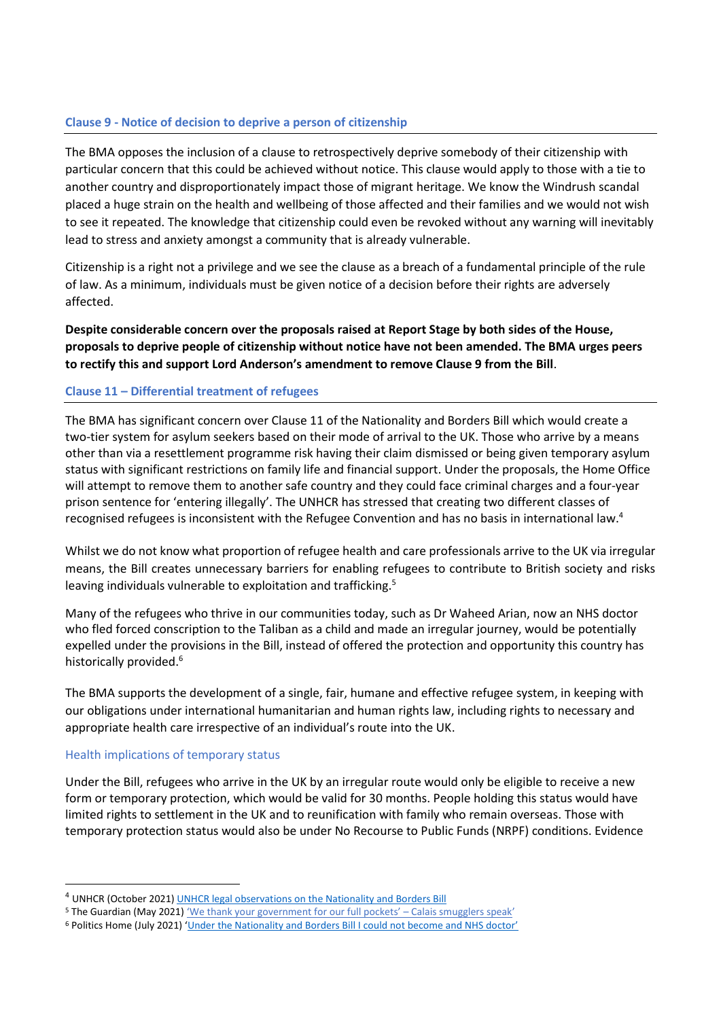## **Clause 9 - Notice of decision to deprive a person of citizenship**

The BMA opposes the inclusion of a clause to retrospectively deprive somebody of their citizenship with particular concern that this could be achieved without notice. This clause would apply to those with a tie to another country and disproportionately impact those of migrant heritage. We know the Windrush scandal placed a huge strain on the health and wellbeing of those affected and their families and we would not wish to see it repeated. The knowledge that citizenship could even be revoked without any warning will inevitably lead to stress and anxiety amongst a community that is already vulnerable.

Citizenship is a right not a privilege and we see the clause as a breach of a fundamental principle of the rule of law. As a minimum, individuals must be given notice of a decision before their rights are adversely affected.

**Despite considerable concern over the proposals raised at Report Stage by both sides of the House, proposals to deprive people of citizenship without notice have not been amended. The BMA urges peers to rectify this and support Lord Anderson's amendment to remove Clause 9 from the Bill**.

#### **Clause 11 – Differential treatment of refugees**

The BMA has significant concern over Clause 11 of the Nationality and Borders Bill which would create a two-tier system for asylum seekers based on their mode of arrival to the UK. Those who arrive by a means other than via a resettlement programme risk having their claim dismissed or being given temporary asylum status with significant restrictions on family life and financial support. Under the proposals, the Home Office will attempt to remove them to another safe country and they could face criminal charges and a four-year prison sentence for 'entering illegally'. The UNHCR has stressed that creating two different classes of recognised refugees is inconsistent with the Refugee Convention and has no basis in international law.<sup>4</sup>

Whilst we do not know what proportion of refugee health and care professionals arrive to the UK via irregular means, the Bill creates unnecessary barriers for enabling refugees to contribute to British society and risks leaving individuals vulnerable to exploitation and trafficking.<sup>5</sup>

Many of the refugees who thrive in our communities today, such as Dr Waheed Arian, now an NHS doctor who fled forced conscription to the Taliban as a child and made an irregular journey, would be potentially expelled under the provisions in the Bill, instead of offered the protection and opportunity this country has historically provided.<sup>6</sup>

The BMA supports the development of a single, fair, humane and effective refugee system, in keeping with our obligations under international humanitarian and human rights law, including rights to necessary and appropriate health care irrespective of an individual's route into the UK.

#### Health implications of temporary status

Under the Bill, refugees who arrive in the UK by an irregular route would only be eligible to receive a new form or temporary protection, which would be valid for 30 months. People holding this status would have limited rights to settlement in the UK and to reunification with family who remain overseas. Those with temporary protection status would also be under No Recourse to Public Funds (NRPF) conditions. Evidence

<sup>4</sup> UNHCR (October 2021[\) UNHCR legal observations on the Nationality and](https://www.unhcr.org/publications/legal/615ff04d4/unhcr-legal-observations-nationality-and-borders-bill-oct-2021.html) Borders Bill

<sup>5</sup> The Guardian (May 2021) ['We thank your government for our full pockets' –](https://www.theguardian.com/global-development/2021/may/10/calais-smuggler-gangs-channel-migrants-uk-security?CMP=Share_AndroidApp_Other) Calais smugglers speak'

<sup>6</sup> Politics Home (July 2021) ['Under the Nationality and Borders Bill I could not become and NHS doctor'](https://www.politicshome.com/thehouse/article/under-the-nationality-and-borders-bill-i-could-not-become-an-nhs-doctor)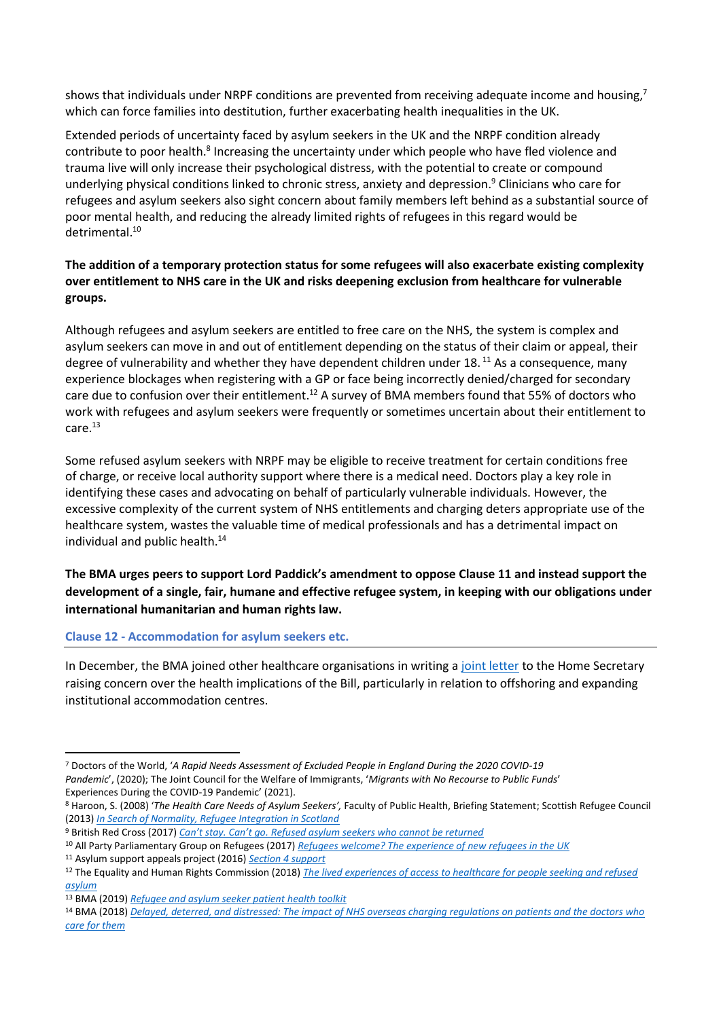shows that individuals under NRPF conditions are prevented from receiving adequate income and housing,<sup>7</sup> which can force families into destitution, further exacerbating health inequalities in the UK.

Extended periods of uncertainty faced by asylum seekers in the UK and the NRPF condition already contribute to poor health.<sup>8</sup> Increasing the uncertainty under which people who have fled violence and trauma live will only increase their psychological distress, with the potential to create or compound underlying physical conditions linked to chronic stress, anxiety and depression.<sup>9</sup> Clinicians who care for refugees and asylum seekers also sight concern about family members left behind as a substantial source of poor mental health, and reducing the already limited rights of refugees in this regard would be detrimental.<sup>10</sup>

## **The addition of a temporary protection status for some refugees will also exacerbate existing complexity over entitlement to NHS care in the UK and risks deepening exclusion from healthcare for vulnerable groups.**

Although refugees and asylum seekers are entitled to free care on the NHS, the system is complex and asylum seekers can move in and out of entitlement depending on the status of their claim or appeal, their degree of vulnerability and whether they have dependent children under 18.<sup>11</sup> As a consequence, many experience blockages when registering with a GP or face being incorrectly denied/charged for secondary care due to confusion over their entitlement.<sup>12</sup> A survey of BMA members found that 55% of doctors who work with refugees and asylum seekers were frequently or sometimes uncertain about their entitlement to care.<sup>13</sup>

Some refused asylum seekers with NRPF may be eligible to receive treatment for certain conditions free of charge, or receive local authority support where there is a medical need. Doctors play a key role in identifying these cases and advocating on behalf of particularly vulnerable individuals. However, the excessive complexity of the current system of NHS entitlements and charging deters appropriate use of the healthcare system, wastes the valuable time of medical professionals and has a detrimental impact on individual and public health.<sup>14</sup>

## **The BMA urges peers to support Lord Paddick's amendment to oppose Clause 11 and instead support the development of a single, fair, humane and effective refugee system, in keeping with our obligations under international humanitarian and human rights law.**

#### **Clause 12 - Accommodation for asylum seekers etc.**

In December, the BMA joined other healthcare organisations in writing a [joint letter](https://msf.org.uk/article/joint-letter-concerns-about-health-implications-nationality-and-borders-bill) to the Home Secretary raising concern over the health implications of the Bill, particularly in relation to offshoring and expanding institutional accommodation centres.

<sup>7</sup> Doctors of the World, '*A Rapid Needs Assessment of Excluded People in England During the 2020 COVID-19 Pandemic*', (2020); The Joint Council for the Welfare of Immigrants, '*Migrants with No Recourse to Public Funds*' Experiences During the COVID-19 Pandemic' (2021).

<sup>8</sup> Haroon, S. (2008) '*The Health Care Needs of Asylum Seekers',* Faculty of Public Health, Briefing Statement; Scottish Refugee Council (2013) *[In Search of Normality, Refugee Integration in Scotland](https://www.scottishrefugeecouncil.org.uk/wp-content/uploads/2019/10/In-search-of-normality-Refugee-Integration-in-Scotland-PDF.pdf)*

<sup>9</sup> British Red Cross (2017) *Can't stay. Can't go[. Refused asylum seekers who cannot be returned](https://www.redcross.org.uk/-/media/documents/about-us/research-publications/refugee-support/cant-stay-cant-go-webready.pdf)*

<sup>10</sup> All Party Parliamentary Group on Refugees (2017) *[Refugees welcome? The experience of new refugees in the UK](https://refugeecouncil.org.uk/wp-content/uploads/2019/03/APPG_on_Refugees_-_Refugees_Welcome_report.pdf)*

<sup>11</sup> Asylum support appeals project (2016) *[Section 4 support](https://www.asaproject.org/uploads/Factsheet-2-section-4-support.pdf)*

<sup>12</sup> The Equality and Human Rights Commission (2018) *[The lived experiences of access to healthcare for people seeking and refused](https://www.equalityhumanrights.com/sites/default/files/research-report-122-people-seeking-asylum-access-to-healthcare-lived-experiences.pdf)  [asylum](https://www.equalityhumanrights.com/sites/default/files/research-report-122-people-seeking-asylum-access-to-healthcare-lived-experiences.pdf)*

<sup>13</sup> BMA (2019) *[Refugee and asylum seeker patient health toolkit](https://www.bma.org.uk/advice-and-support/ethics/refugees-overseas-visitors-and-vulnerable-migrants/refugee-and-asylum-seeker-patient-health-toolkit/overcoming-barriers-to-refugees-and-asylum-seekers-accessing-care)*

<sup>14</sup> BMA (2018) *[Delayed, deterred, and distressed: The impact of NHS overseas charging regulations on patients and the doctors who](https://www.bma.org.uk/media/1834/bma-overseas-charging-paper-2018.pdf)  [care for them](https://www.bma.org.uk/media/1834/bma-overseas-charging-paper-2018.pdf)*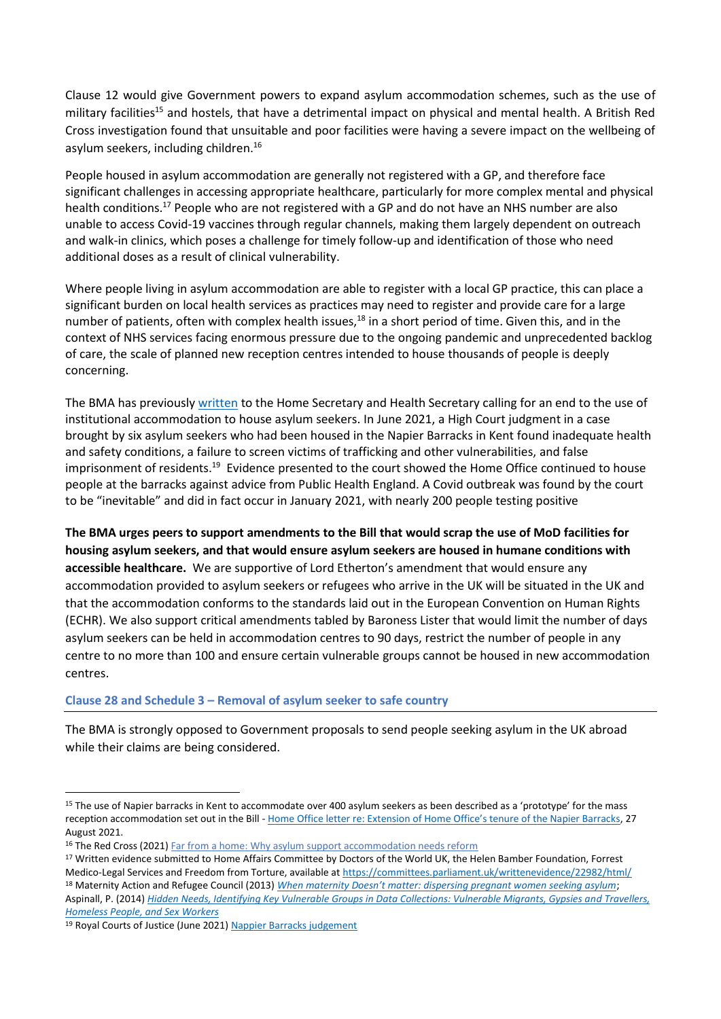Clause 12 would give Government powers to expand asylum accommodation schemes, such as the use of military facilities<sup>15</sup> and hostels, that have a detrimental impact on physical and mental health. A British Red Cross investigation found that unsuitable and poor facilities were having a severe impact on the wellbeing of asylum seekers, including children.<sup>16</sup>

People housed in asylum accommodation are generally not registered with a GP, and therefore face significant challenges in accessing appropriate healthcare, particularly for more complex mental and physical health conditions.<sup>17</sup> People who are not registered with a GP and do not have an NHS number are also unable to access Covid-19 vaccines through regular channels, making them largely dependent on outreach and walk-in clinics, which poses a challenge for timely follow-up and identification of those who need additional doses as a result of clinical vulnerability.

Where people living in asylum accommodation are able to register with a local GP practice, this can place a significant burden on local health services as practices may need to register and provide care for a large number of patients, often with complex health issues,<sup>18</sup> in a short period of time. Given this, and in the context of NHS services facing enormous pressure due to the ongoing pandemic and unprecedented backlog of care, the scale of planned new reception centres intended to house thousands of people is deeply concerning.

The BMA has previousl[y written](https://www.doctorsoftheworld.org.uk/wp-content/uploads/2020/11/Letter-on-the-use-of-MoD-sites-as-accommodation_26.11.2020.pdf) to the Home Secretary and Health Secretary calling for an end to the use of institutional accommodation to house asylum seekers. In June 2021, a High Court [judgment in a case](https://www.judiciary.uk/wp-content/uploads/2021/06/Napier-Barracks-judgment.pdf)  [brought by six asylum seekers](https://www.judiciary.uk/wp-content/uploads/2021/06/Napier-Barracks-judgment.pdf) who had been housed in the Napier Barracks in Kent found inadequate health and safety conditions, a failure to screen victims of trafficking and other vulnerabilities, and false imprisonment of residents.<sup>19</sup> Evidence presented to the court showed the Home Office continued to house people at the barracks against advice from Public Health England. A Covid outbreak was found by the court to be "inevitable" and did in fact occur in January 2021, with nearly 200 people testing positive

**The BMA urges peers to support amendments to the Bill that would scrap the use of MoD facilities for housing asylum seekers, and that would ensure asylum seekers are housed in humane conditions with accessible healthcare.** We are supportive of Lord Etherton's amendment that would ensure any accommodation provided to asylum seekers or refugees who arrive in the UK will be situated in the UK and that the accommodation conforms to the standards laid out in the European Convention on Human Rights (ECHR). We also support critical amendments tabled by Baroness Lister that would limit the number of days asylum seekers can be held in accommodation centres to 90 days, restrict the number of people in any centre to no more than 100 and ensure certain vulnerable groups cannot be housed in new accommodation centres.

#### **Clause 28 and Schedule 3 – Removal of asylum seeker to safe country**

The BMA is strongly opposed to Government proposals to send people seeking asylum in the UK abroad while their claims are being considered.

<sup>&</sup>lt;sup>15</sup> The use of Napier barracks in Kent to accommodate over 400 asylum seekers as been described as a 'prototype' for the mass reception accommodation set out in the Bill - [Home Office letter re: Extension of Home Office's tenure of the Napier Barracks](https://appgdetention.org.uk/wp-content/uploads/2021/09/2021-08-27-FBIM-to-Alison-Thewliss-MP.pdf?x66900), 27 August 2021.

<sup>&</sup>lt;sup>16</sup> The Red Cross (2021[\) Far from a home:](https://www.redcross.org.uk/far-from-a-home) Why asylum support accommodation needs reform

<sup>&</sup>lt;sup>17</sup> Written evidence submitted to Home Affairs Committee by Doctors of the World UK, the Helen Bamber Foundation, Forrest Medico-Legal Services and Freedom from Torture, available at<https://committees.parliament.uk/writtenevidence/22982/html/> <sup>18</sup> Maternity Action and Refugee Council (2013) *[When maternity Doesn't matter: dispersing pregnant women seeking asylum](https://www.maternityaction.org.uk/wp-content/uploads/2013/09/When_Maternity_Doesn_t_Matter_-_Ref_Council__Maternity_Action_report_Feb2013.pdf)*; Aspinall, P. (2014) *[Hidden Needs, Identifying Key Vulnerable Groups in Data Collections: Vulnerable Migrants, Gypsies and Travellers,](https://assets.publishing.service.gov.uk/government/uploads/system/uploads/attachment_data/file/287805/vulnerable_groups_data_collections.pdf)  [Homeless People, and Sex Workers](https://assets.publishing.service.gov.uk/government/uploads/system/uploads/attachment_data/file/287805/vulnerable_groups_data_collections.pdf)*

<sup>19</sup> Royal Courts of Justice (June 2021) [Nappier Barracks judgement](https://www.judiciary.uk/wp-content/uploads/2021/06/Napier-Barracks-judgment.pdf)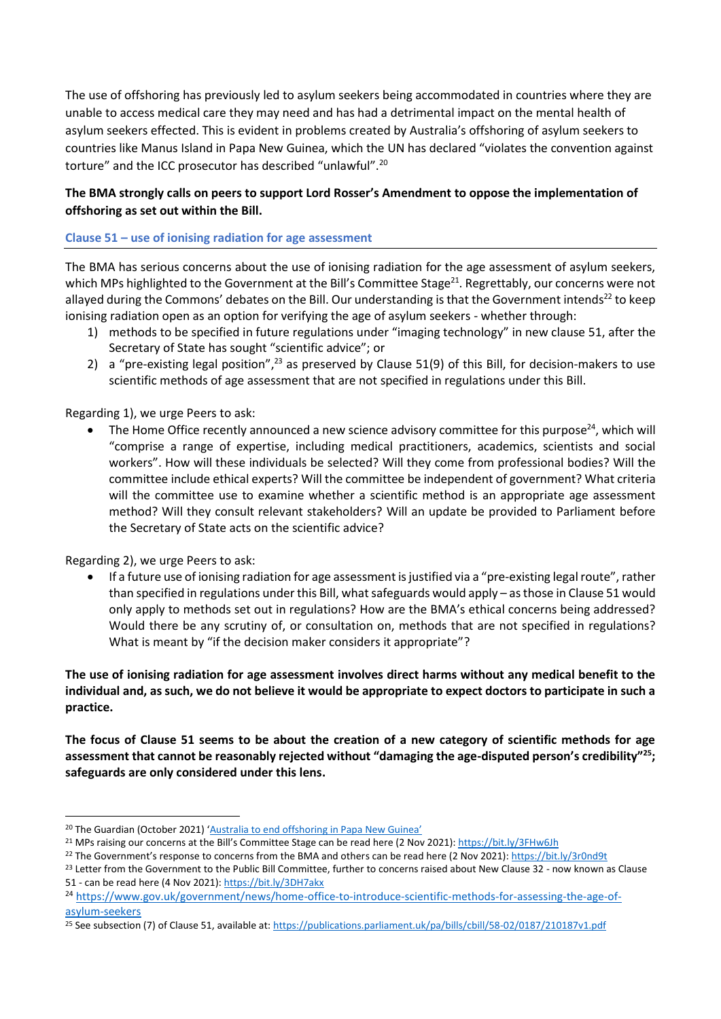The use of offshoring has previously led to asylum seekers being accommodated in countries where they are unable to access medical care they may need and has had a detrimental impact on the mental health of asylum seekers effected. This is evident in problems created by Australia's offshoring of asylum seekers to countries like Manus Island in Papa New Guinea, which the UN has declared "violates the convention against torture" and the ICC prosecutor has described "unlawful".<sup>20</sup>

## **The BMA strongly calls on peers to support Lord Rosser's Amendment to oppose the implementation of offshoring as set out within the Bill.**

#### **Clause 51 – use of ionising radiation for age assessment**

The BMA has serious concerns about the use of ionising radiation for the age assessment of asylum seekers, which MPs highlighted to the Government at the Bill's Committee Stage<sup>21</sup>. Regrettably, our concerns were not allayed during the Commons' debates on the Bill. Our understanding is that the Government intends<sup>22</sup> to keep ionising radiation open as an option for verifying the age of asylum seekers - whether through:

- 1) methods to be specified in future regulations under "imaging technology" in new clause 51, after the Secretary of State has sought "scientific advice"; or
- 2) a "pre-existing legal position",<sup>23</sup> as preserved by Clause 51(9) of this Bill, for decision-makers to use scientific methods of age assessment that are not specified in regulations under this Bill.

#### Regarding 1), we urge Peers to ask:

The Home Office recently announced a new science advisory committee for this purpose<sup>24</sup>, which will "comprise a range of expertise, including medical practitioners, academics, scientists and social workers". How will these individuals be selected? Will they come from professional bodies? Will the committee include ethical experts? Will the committee be independent of government? What criteria will the committee use to examine whether a scientific method is an appropriate age assessment method? Will they consult relevant stakeholders? Will an update be provided to Parliament before the Secretary of State acts on the scientific advice?

#### Regarding 2), we urge Peers to ask:

• If a future use of ionising radiation for age assessment is justified via a "pre-existing legal route", rather than specified in regulations under this Bill, what safeguards would apply – as those in Clause 51 would only apply to methods set out in regulations? How are the BMA's ethical concerns being addressed? Would there be any scrutiny of, or consultation on, methods that are not specified in regulations? What is meant by "if the decision maker considers it appropriate"?

**The use of ionising radiation for age assessment involves direct harms without any medical benefit to the individual and, as such, we do not believe it would be appropriate to expect doctors to participate in such a practice.**

**The focus of Clause 51 seems to be about the creation of a new category of scientific methods for age assessment that cannot be reasonably rejected without "damaging the age-disputed person's credibility"<sup>25</sup>; safeguards are only considered under this lens.**

<sup>&</sup>lt;sup>20</sup> The Guardian (October 2021) ['Australia to end offshoring in Papa New Guinea'](https://www.theguardian.com/australia-news/2021/oct/06/australia-to-end-offshore-processing-in-papua-new-guinea)

<sup>21</sup> MPs raising our concerns at the Bill's Committee Stage can be read here (2 Nov 2021)[: https://bit.ly/3FHw6Jh](https://bit.ly/3FHw6Jh)

<sup>&</sup>lt;sup>22</sup> The Government's response to concerns from the BMA and others can be read here (2 Nov 2021)[: https://bit.ly/3r0nd9t](https://bit.ly/3r0nd9t)

<sup>&</sup>lt;sup>23</sup> Letter from the Government to the Public Bill Committee, further to concerns raised about New Clause 32 - now known as Clause 51 - can be read here (4 Nov 2021):<https://bit.ly/3DH7akx>

<sup>&</sup>lt;sup>24</sup> [https://www.gov.uk/government/news/home-office-to-introduce-scientific-methods-for-assessing-the-age-of](https://www.gov.uk/government/news/home-office-to-introduce-scientific-methods-for-assessing-the-age-of-asylum-seekers)[asylum-seekers](https://www.gov.uk/government/news/home-office-to-introduce-scientific-methods-for-assessing-the-age-of-asylum-seekers)

<sup>&</sup>lt;sup>25</sup> See subsection (7) of Clause 51, available at[: https://publications.parliament.uk/pa/bills/cbill/58-02/0187/210187v1.pdf](https://publications.parliament.uk/pa/bills/cbill/58-02/0187/210187v1.pdf)